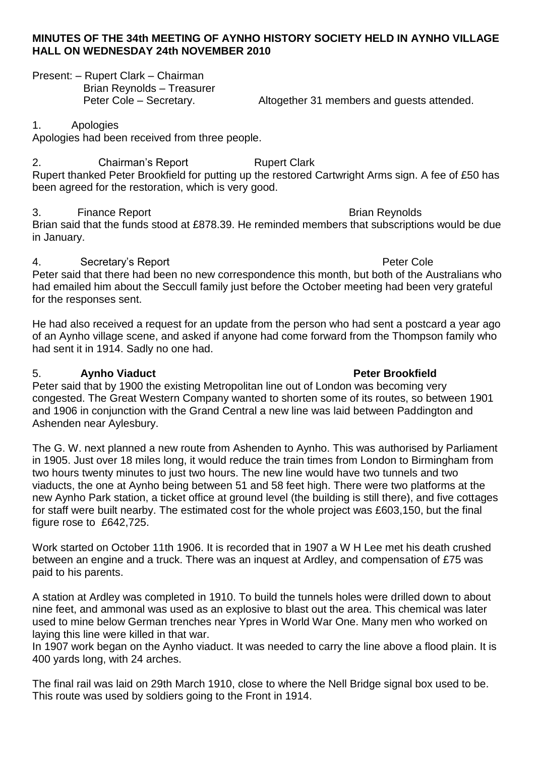### **MINUTES OF THE 34th MEETING OF AYNHO HISTORY SOCIETY HELD IN AYNHO VILLAGE HALL ON WEDNESDAY 24th NOVEMBER 2010**

Present: – Rupert Clark – Chairman Brian Reynolds – Treasurer

Peter Cole – Secretary. Altogether 31 members and guests attended.

### 1. Apologies

Apologies had been received from three people.

2. Chairman's Report **Rupert Clark** Rupert thanked Peter Brookfield for putting up the restored Cartwright Arms sign. A fee of £50 has been agreed for the restoration, which is very good.

## 3. Finance Report **Brian Reynolds**

Brian said that the funds stood at £878.39. He reminded members that subscriptions would be due in January.

# 4. Secretary's Report **Peter Cole Peter Cole Peter Cole**

Peter said that there had been no new correspondence this month, but both of the Australians who had emailed him about the Seccull family just before the October meeting had been very grateful for the responses sent.

He had also received a request for an update from the person who had sent a postcard a year ago of an Aynho village scene, and asked if anyone had come forward from the Thompson family who had sent it in 1914. Sadly no one had.

## 5. **Aynho Viaduct Peter Brookfield**

Peter said that by 1900 the existing Metropolitan line out of London was becoming very congested. The Great Western Company wanted to shorten some of its routes, so between 1901 and 1906 in conjunction with the Grand Central a new line was laid between Paddington and Ashenden near Aylesbury.

The G. W. next planned a new route from Ashenden to Aynho. This was authorised by Parliament in 1905. Just over 18 miles long, it would reduce the train times from London to Birmingham from two hours twenty minutes to just two hours. The new line would have two tunnels and two viaducts, the one at Aynho being between 51 and 58 feet high. There were two platforms at the new Aynho Park station, a ticket office at ground level (the building is still there), and five cottages for staff were built nearby. The estimated cost for the whole project was £603,150, but the final figure rose to £642,725.

Work started on October 11th 1906. It is recorded that in 1907 a W H Lee met his death crushed between an engine and a truck. There was an inquest at Ardley, and compensation of £75 was paid to his parents.

A station at Ardley was completed in 1910. To build the tunnels holes were drilled down to about nine feet, and ammonal was used as an explosive to blast out the area. This chemical was later used to mine below German trenches near Ypres in World War One. Many men who worked on laying this line were killed in that war.

In 1907 work began on the Aynho viaduct. It was needed to carry the line above a flood plain. It is 400 yards long, with 24 arches.

The final rail was laid on 29th March 1910, close to where the Nell Bridge signal box used to be. This route was used by soldiers going to the Front in 1914.